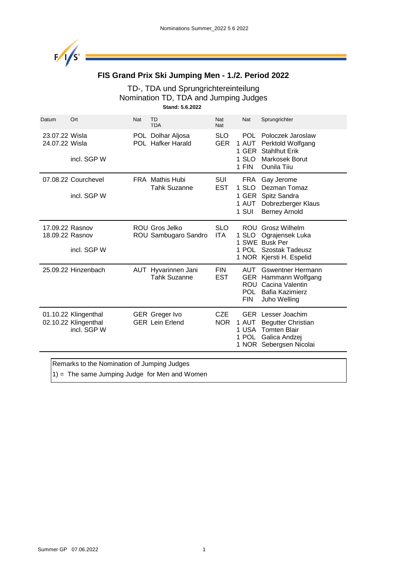

### **FIS Grand Prix Ski Jumping Men - 1./2. Period 2022**

#### TD-, TDA und Sprungrichtereinteilung Nomination TD, TDA and Jumping Judges **Stand: 5.6.2022**

| Datum                              | Ort                                                         | Nat | TD<br><b>TDA</b>                                | Nat<br>Nat               | Nat                                                          | Sprungrichter                                                                                                  |
|------------------------------------|-------------------------------------------------------------|-----|-------------------------------------------------|--------------------------|--------------------------------------------------------------|----------------------------------------------------------------------------------------------------------------|
| 23.07.22 Wisla<br>24.07.22 Wisla   | incl. SGP W                                                 |     | POL Dolhar Aljosa<br><b>POL</b> Hafker Harald   | <b>SLO</b><br><b>GER</b> | POL.<br>1 AUT<br>1 GER<br>1 SLO<br>1 FIN                     | Poloczek Jaroslaw<br>Perktold Wolfgang<br><b>Stahlhut Erik</b><br>Markosek Borut<br><b>Ounila Tiiu</b>         |
|                                    | 07.08.22 Courchevel<br>incl. SGP W                          |     | <b>FRA</b> Mathis Hubi<br><b>Tahk Suzanne</b>   | <b>SUI</b><br><b>EST</b> | <b>FRA</b><br>$1$ SLO<br>1 GER<br>1 AUT<br>1 SUI             | Gay Jerome<br>Dezman Tomaz<br>Spitz Sandra<br>Dobrezberger Klaus<br><b>Berney Arnold</b>                       |
| 17.09.22 Rasnov<br>18.09.22 Rasnov | incl. SGP W                                                 |     | ROU Gros Jelko<br>ROU Sambugaro Sandro          | <b>SLO</b><br><b>ITA</b> | <b>ROU</b><br>1 SLO<br>1 SWE<br>1 POL                        | Grosz Wilhelm<br>Ograjensek Luka<br><b>Busk Per</b><br>Szostak Tadeusz<br>1 NOR Kjersti H. Espelid             |
|                                    | 25.09.22 Hinzenbach                                         |     | AUT Hyvarinnen Jani<br><b>Tahk Suzanne</b>      | <b>FIN</b><br><b>EST</b> | AUT.<br><b>GER</b><br><b>ROU</b><br><b>POL</b><br><b>FIN</b> | <b>Gswentner Hermann</b><br>Hammann Wolfgang<br>Cacina Valentin<br>Bafia Kazimierz<br>Juho Welling             |
|                                    | 01.10.22 Klingenthal<br>02.10.22 Klingenthal<br>incl. SGP W |     | <b>GER</b> Greger Ivo<br><b>GER</b> Lein Erlend | <b>CZE</b><br><b>NOR</b> | <b>GER</b><br>1 AUT<br>1 USA<br>1 POL                        | Lesser Joachim<br><b>Begutter Christian</b><br><b>Tomten Blair</b><br>Galica Andzej<br>1 NOR Sebergsen Nicolai |

Remarks to the Nomination of Jumping Judges

 $1)$  = The same Jumping Judge for Men and Women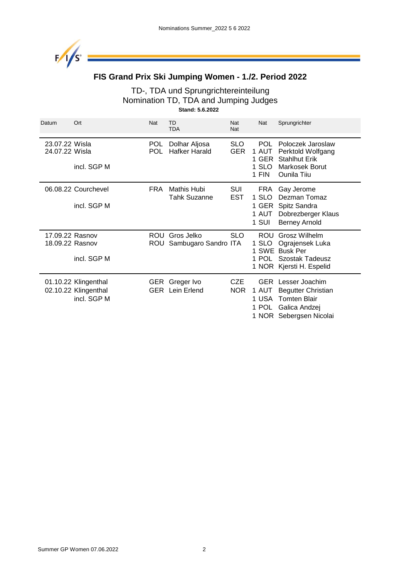

# **FIS Grand Prix Ski Jumping Women - 1./2. Period 2022**

#### TD-, TDA und Sprungrichtereinteilung Nomination TD, TDA and Jumping Judges **Stand: 5.6.2022**

| Datum                              | Ort                                                         | Nat               | TD<br><b>TDA</b>                         | Nat<br><b>Nat</b>        | <b>Nat</b>                               | Sprungrichter                                                                                                  |
|------------------------------------|-------------------------------------------------------------|-------------------|------------------------------------------|--------------------------|------------------------------------------|----------------------------------------------------------------------------------------------------------------|
| 23.07.22 Wisla<br>24.07.22 Wisla   | incl. SGP M                                                 | <b>POL</b><br>POL | Dolhar Aljosa<br>Hafker Harald           | <b>SLO</b><br><b>GER</b> | POL.<br>1 AUT<br>1 GER<br>1 SLO<br>1 FIN | Poloczek Jaroslaw<br>Perktold Wolfgang<br><b>Stahlhut Erik</b><br>Markosek Borut<br>Ounila Tiiu                |
|                                    | 06.08.22 Courchevel<br>incl. SGP M                          | <b>FRA</b>        | Mathis Hubi<br><b>Tahk Suzanne</b>       | <b>SUI</b><br>EST        | FRA<br>1 SLO<br>1 AUT<br>1 SUI           | Gay Jerome<br>Dezman Tomaz<br>1 GER Spitz Sandra<br>Dobrezberger Klaus<br><b>Berney Arnold</b>                 |
| 17.09.22 Rasnov<br>18.09.22 Rasnov | incl. SGP M                                                 | ROU<br>ROU        | Gros Jelko<br>Sambugaro Sandro ITA       | <b>SLO</b>               | <b>ROU</b><br>1 SLO<br>1 POL             | Grosz Wilhelm<br>Ograjensek Luka<br>1 SWE Busk Per<br><b>Szostak Tadeusz</b><br>1 NOR Kjersti H. Espelid       |
|                                    | 01.10.22 Klingenthal<br>02.10.22 Klingenthal<br>incl. SGP M |                   | GER Greger Ivo<br><b>GER</b> Lein Erlend | <b>CZE</b><br>NOR.       | <b>GER</b><br>1 AUT<br>1 USA<br>1 POL    | Lesser Joachim<br><b>Begutter Christian</b><br><b>Tomten Blair</b><br>Galica Andzej<br>1 NOR Sebergsen Nicolai |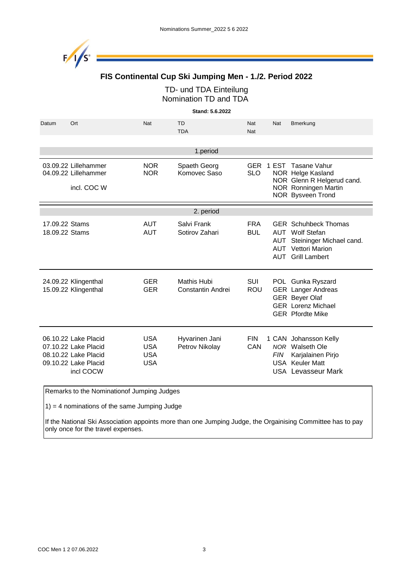

### **FIS Continental Cup Ski Jumping Men - 1./2. Period 2022**

TD- und TDA Einteilung Nomination TD and TDA

**Stand: 5.6.2022**

| Datum<br>Ort                                                                                              | Nat                                                  | TD<br><b>TDA</b>                 | Nat<br>Nat               | Nat        | <b>Bmerkung</b>                                                                                                                 |
|-----------------------------------------------------------------------------------------------------------|------------------------------------------------------|----------------------------------|--------------------------|------------|---------------------------------------------------------------------------------------------------------------------------------|
|                                                                                                           |                                                      | 1.period                         |                          |            |                                                                                                                                 |
| 03.09.22 Lillehammer<br>04.09.22 Lillehammer<br>incl. COC W                                               | <b>NOR</b><br><b>NOR</b>                             | Spaeth Georg<br>Komovec Saso     | <b>SLO</b>               |            | GER 1 EST Tasane Vahur<br>NOR Helge Kasland<br>NOR Glenn R Helgerud cand.<br>NOR Ronningen Martin<br>NOR Bysveen Trond          |
|                                                                                                           |                                                      | 2. period                        |                          |            |                                                                                                                                 |
| 17.09.22 Stams<br>18.09.22 Stams                                                                          | <b>AUT</b><br><b>AUT</b>                             | Salvi Frank<br>Sotirov Zahari    | <b>FRA</b><br><b>BUL</b> | AUT<br>AUT | <b>GER</b> Schuhbeck Thomas<br>AUT Wolf Stefan<br>Steininger Michael cand.<br><b>AUT</b> Vettori Marion<br><b>Grill Lambert</b> |
| 24.09.22 Klingenthal<br>15.09.22 Klingenthal                                                              | <b>GER</b><br><b>GER</b>                             | Mathis Hubi<br>Constantin Andrei | SUI<br><b>ROU</b>        |            | POL Gunka Ryszard<br><b>GER</b> Langer Andreas<br><b>GER Beyer Olaf</b><br><b>GER</b> Lorenz Michael<br><b>GER</b> Pfordte Mike |
| 06.10.22 Lake Placid<br>07.10.22 Lake Placid<br>08.10.22 Lake Placid<br>09.10.22 Lake Placid<br>incl COCW | <b>USA</b><br><b>USA</b><br><b>USA</b><br><b>USA</b> | Hyvarinen Jani<br>Petrov Nikolay | <b>FIN</b><br>CAN        | <b>FIN</b> | 1 CAN Johansson Kelly<br>NOR Walseth Ole<br>Karjalainen Pirjo<br><b>USA</b> Keuler Matt<br>USA Levasseur Mark                   |

Remarks to the Nominationof Jumping Judges

1) = 4 nominations of the same Jumping Judge

If the National Ski Association appoints more than one Jumping Judge, the Orgainising Committee has to pay only once for the travel expenses.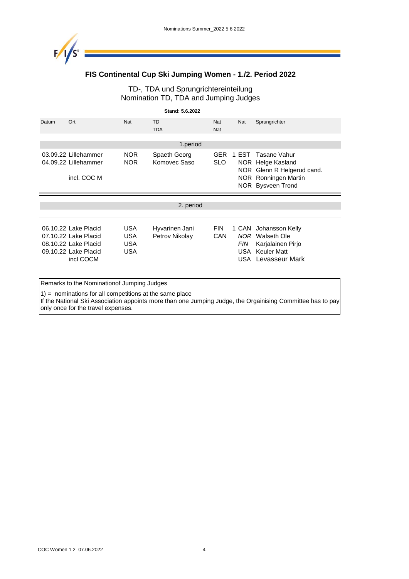

### **FIS Continental Cup Ski Jumping Women - 1./2. Period 2022**

#### TD-, TDA und Sprungrichtereinteilung Nomination TD, TDA and Jumping Judges

|                                                                                                           |                                                            | Stand: 5.6.2022                  |                          |            |                                                                                                                      |
|-----------------------------------------------------------------------------------------------------------|------------------------------------------------------------|----------------------------------|--------------------------|------------|----------------------------------------------------------------------------------------------------------------------|
| Datum<br>Ort                                                                                              | <b>Nat</b>                                                 | TD<br><b>TDA</b>                 | Nat<br>Nat               | Nat        | Sprungrichter                                                                                                        |
|                                                                                                           |                                                            | 1.period                         |                          |            |                                                                                                                      |
| 03.09.22 Lillehammer<br>04.09.22 Lillehammer<br>incl. COC M                                               | <b>NOR</b><br><b>NOR</b>                                   | Spaeth Georg<br>Komovec Saso     | SLO.                     | GER 1 EST  | Tasane Vahur<br>NOR Helge Kasland<br>NOR Glenn R Helgerud cand.<br>NOR Ronningen Martin<br>NOR Bysveen Trond         |
|                                                                                                           |                                                            | 2. period                        |                          |            |                                                                                                                      |
| 06.10.22 Lake Placid<br>07.10.22 Lake Placid<br>08.10.22 Lake Placid<br>09.10.22 Lake Placid<br>incl COCM | <b>USA</b><br><b>USA</b><br><b>USA</b><br><b>USA</b>       | Hyvarinen Jani<br>Petrov Nikolay | <b>FIN</b><br><b>CAN</b> | <b>FIN</b> | 1 CAN Johansson Kelly<br><b>NOR</b> Walseth Ole<br>Karjalainen Pirjo<br><b>USA</b> Keuler Matt<br>USA Levasseur Mark |
|                                                                                                           | Remarks to the Nominationof Jumping Judges                 |                                  |                          |            |                                                                                                                      |
|                                                                                                           | $1$ ) = nominations for all competitions at the same place |                                  |                          |            |                                                                                                                      |

If the National Ski Association appoints more than one Jumping Judge, the Orgainising Committee has to pay only once for the travel expenses.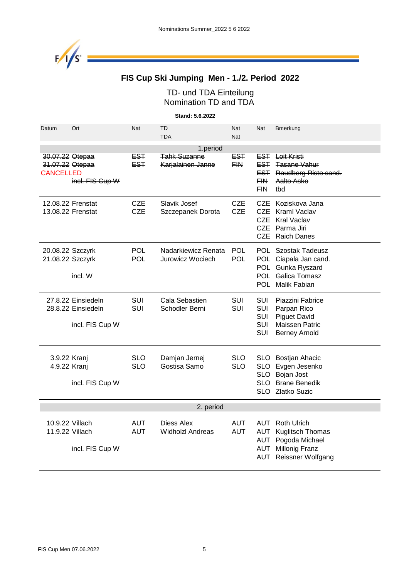

# **FIS Cup Ski Jumping Men - 1./2. Period 2022**

### TD- und TDA Einteilung Nomination TD and TDA

**Stand: 5.6.2022**

| Datum                                                  | Ort                                                         | Nat                      | TD<br><b>TDA</b>                         | Nat<br>Nat               | Nat                                                         | Bmerkung                                                                                                                     |  |  |  |
|--------------------------------------------------------|-------------------------------------------------------------|--------------------------|------------------------------------------|--------------------------|-------------------------------------------------------------|------------------------------------------------------------------------------------------------------------------------------|--|--|--|
|                                                        | 1.period                                                    |                          |                                          |                          |                                                             |                                                                                                                              |  |  |  |
| 30.07.22 Otepaa<br>31.07.22 Otepaa<br><b>CANCELLED</b> | incl. FIS Cup W                                             | <b>EST</b><br><b>EST</b> | <b>Tahk Suzanne</b><br>Karjalainen Janne | <b>EST</b><br><b>FIN</b> | EST<br><b>FIN</b><br><b>FIN</b>                             | <b>EST</b> Loit Kristi<br><b>Tasane Vahur</b><br><b>EST</b> Raudberg Risto cand.<br>Aalto Asko<br>tbd                        |  |  |  |
|                                                        | 12.08.22 Frenstat<br>13.08.22 Frenstat                      | <b>CZE</b><br><b>CZE</b> | Slavik Josef<br>Szczepanek Dorota        | <b>CZE</b><br><b>CZE</b> | CZE.<br><b>CZE</b><br><b>CZE</b><br><b>CZE</b>              | Koziskova Jana<br>Kraml Vaclav<br><b>Kral Vaclav</b><br>Parma Jiri<br>CZE Raich Danes                                        |  |  |  |
| 20.08.22 Szczyrk<br>21.08.22 Szczyrk                   | incl. W                                                     | <b>POL</b><br><b>POL</b> | Nadarkiewicz Renata<br>Jurowicz Wociech  | <b>POL</b><br><b>POL</b> |                                                             | <b>POL</b> Szostak Tadeusz<br>POL Ciapala Jan cand.<br>POL Gunka Ryszard<br>POL Galica Tomasz<br>POL Malik Fabian            |  |  |  |
|                                                        | 27.8.22 Einsiedeln<br>28.8.22 Einsiedeln<br>incl. FIS Cup W | SUI<br><b>SUI</b>        | Cala Sebastien<br>Schodler Berni         | SUI<br>SUI               | <b>SUI</b><br>SUI<br><b>SUI</b><br><b>SUI</b><br><b>SUI</b> | Piazzini Fabrice<br>Parpan Rico<br><b>Piguet David</b><br><b>Maissen Patric</b><br><b>Berney Arnold</b>                      |  |  |  |
| 3.9.22 Kranj<br>4.9.22 Kranj                           | incl. FIS Cup W                                             | <b>SLO</b><br><b>SLO</b> | Damjan Jernej<br>Gostisa Samo            | <b>SLO</b><br><b>SLO</b> | <b>SLO</b><br><b>SLO</b><br><b>SLO</b><br>SLO.              | <b>Bostjan Ahacic</b><br>Evgen Jesenko<br>Bojan Jost<br><b>Brane Benedik</b><br>SLO Zlatko Suzic                             |  |  |  |
|                                                        | 2. period                                                   |                          |                                          |                          |                                                             |                                                                                                                              |  |  |  |
| 11.9.22 Villach                                        | 10.9.22 Villach<br>incl. FIS Cup W                          | <b>AUT</b><br><b>AUT</b> | Diess Alex<br><b>Widholzl Andreas</b>    | <b>AUT</b><br><b>AUT</b> | AUT<br>AUT<br>AUT                                           | <b>AUT</b> Roth Ulrich<br><b>Kuglitsch Thomas</b><br>Pogoda Michael<br><b>Millonig Franz</b><br><b>AUT</b> Reissner Wolfgang |  |  |  |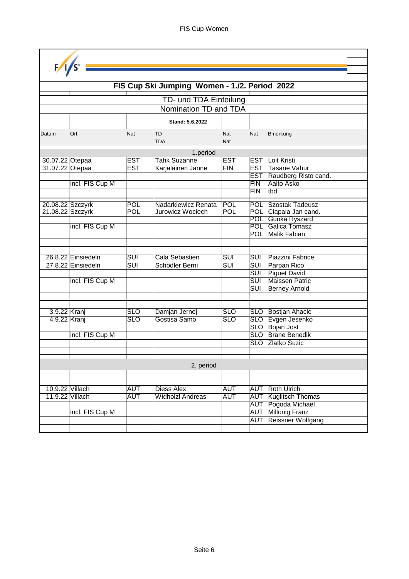| F/1/s                              |                    |                         |                                               |                          |                                                    |                                               |
|------------------------------------|--------------------|-------------------------|-----------------------------------------------|--------------------------|----------------------------------------------------|-----------------------------------------------|
|                                    |                    |                         |                                               |                          |                                                    |                                               |
|                                    |                    |                         | FIS Cup Ski Jumping Women - 1./2. Period 2022 |                          |                                                    |                                               |
|                                    |                    |                         |                                               |                          |                                                    |                                               |
|                                    |                    |                         | TD- und TDA Einteilung                        |                          |                                                    |                                               |
|                                    |                    |                         | Nomination TD and TDA                         |                          |                                                    |                                               |
|                                    |                    |                         | Stand: 5.6.2022                               |                          |                                                    |                                               |
| Datum                              | Ort                | Nat                     | TD<br><b>TDA</b>                              | Nat<br>Nat               | Nat                                                | Bmerkung                                      |
|                                    |                    |                         | 1.period                                      |                          |                                                    |                                               |
| 30.07.22 Otepaa                    |                    | <b>EST</b>              | <b>Tahk Suzanne</b>                           | <b>EST</b>               | <b>EST</b>                                         | Loit Kristi                                   |
| 31.07.22 Otepaa                    |                    | <b>EST</b>              | Karjalainen Janne                             | FIN                      | <b>EST</b>                                         | Tasane Vahur                                  |
|                                    |                    |                         |                                               |                          | <b>EST</b><br>FIN                                  | Raudberg Risto cand.<br><b>Aalto Asko</b>     |
|                                    | incl. FIS Cup M    |                         |                                               |                          | FIN                                                | tbd                                           |
|                                    |                    |                         |                                               |                          |                                                    |                                               |
| 20.08.22 Szczyrk                   |                    | <b>POL</b>              | Nadarkiewicz Renata                           | <b>POL</b>               | <b>POL</b>                                         | Szostak Tadeusz                               |
| 21.08.22 Szczyrk                   |                    | POL                     | Jurowicz Wociech                              | <b>POL</b>               | <b>POL</b>                                         | Ciapala Jan cand.                             |
|                                    | incl. FIS Cup M    |                         |                                               |                          | <b>POL</b><br><b>POL</b>                           | Gunka Ryszard<br>Galica Tomasz                |
|                                    |                    |                         |                                               |                          | <b>POL</b>                                         | Malik Fabian                                  |
|                                    |                    |                         |                                               |                          |                                                    |                                               |
|                                    |                    |                         |                                               |                          |                                                    |                                               |
|                                    | 26.8.22 Einsiedeln | $\overline{\text{SUI}}$ | Cala Sebastien                                | $\overline{\text{SUI}}$  | $\overline{\text{SUI}}$                            | <b>Piazzini Fabrice</b>                       |
|                                    | 27.8.22 Einsiedeln | $\overline{\text{SUI}}$ | <b>Schodler Berni</b>                         | $\overline{\text{SUI}}$  | $\overline{\text{SUI}}$                            | Parpan Rico                                   |
|                                    |                    |                         |                                               |                          | $\overline{\text{SUI}}$                            | <b>Piguet David</b>                           |
|                                    | incl. FIS Cup M    |                         |                                               |                          | $\overline{\text{SUI}}$<br>$\overline{\text{SUI}}$ | <b>Maissen Patric</b>                         |
|                                    |                    |                         |                                               |                          |                                                    | <b>Berney Arnold</b>                          |
|                                    |                    |                         |                                               |                          |                                                    |                                               |
| 3.9.22 Kranj                       |                    | <b>SLO</b>              | Damjan Jernej                                 | <b>SLO</b>               | <b>SLO</b>                                         | <b>Bostjan Ahacic</b>                         |
| 4.9.22 Kranj                       |                    | <b>SLO</b>              | Gostisa Samo                                  | <b>SLO</b>               | $\overline{\text{SLO}}$                            | Evgen Jesenko                                 |
|                                    |                    |                         |                                               |                          | $\overline{\text{SLO}}$                            | <b>Bojan Jost</b>                             |
|                                    | incl. FIS Cup M    |                         |                                               |                          | $\overline{\text{SLO}}$                            | <b>Brane Benedik</b>                          |
|                                    |                    |                         |                                               |                          | <b>SLO</b>                                         | Zlatko Suzic                                  |
|                                    |                    |                         |                                               |                          |                                                    |                                               |
|                                    |                    |                         | 2. period                                     |                          |                                                    |                                               |
|                                    |                    |                         |                                               |                          |                                                    |                                               |
|                                    |                    |                         |                                               |                          |                                                    |                                               |
| 10.9.22 Villach<br>11.9.22 Villach |                    | <b>AUT</b><br>AUT       | <b>Diess Alex</b><br><b>Widholzl Andreas</b>  | <b>AUT</b><br><b>AUT</b> | <b>AUT</b><br><b>AUT</b>                           | <b>Roth Ulrich</b><br><b>Kuglitsch Thomas</b> |
|                                    |                    |                         |                                               |                          | <b>AUT</b>                                         | Pogoda Michael                                |
|                                    | incl. FIS Cup M    |                         |                                               |                          | <b>AUT</b>                                         | <b>Millonig Franz</b>                         |
|                                    |                    |                         |                                               |                          | <b>AUT</b>                                         | Reissner Wolfgang                             |
|                                    |                    |                         |                                               |                          |                                                    |                                               |